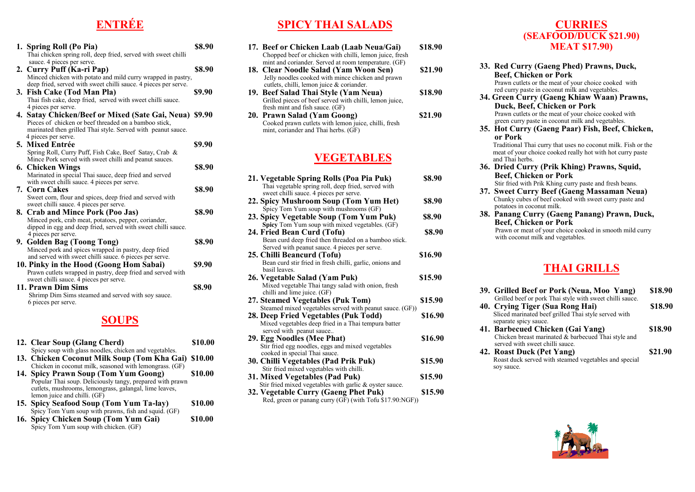## **ENTRÉE**

| 1. Spring Roll (Po Pia)<br>Thai chicken spring roll, deep fried, served with sweet chilli<br>sauce. 4 pieces per serve.                                                                                | <b>\$8.90</b> |
|--------------------------------------------------------------------------------------------------------------------------------------------------------------------------------------------------------|---------------|
| 2. Curry Puff (Ka-ri Pap)<br>Minced chicken with potato and mild curry wrapped in pastry,                                                                                                              | <b>\$8.90</b> |
| deep fried, served with sweet chilli sauce. 4 pieces per serve.<br>3. Fish Cake (Tod Man Pla)<br>Thai fish cake, deep fried, served with sweet chilli sauce.<br>4 pieces per serve.                    | \$9.90        |
| 4. Satay Chicken/Beef or Mixed (Sate Gai, Neua) \$9.90<br>Pieces of chicken or beef threaded on a bamboo stick,<br>marinated then grilled Thai style. Served with peanut sauce.<br>4 pieces per serve. |               |
| 5. Mixed Entrée<br>Spring Roll, Curry Puff, Fish Cake, Beef Satay, Crab &                                                                                                                              | \$9.90        |
| Mince Pork served with sweet chilli and peanut sauces.<br>6. Chicken Wings<br>Marinated in special Thai sauce, deep fried and served                                                                   | \$8.90        |
| with sweet chilli sauce. 4 pieces per serve.<br><b>7. Corn Cakes</b><br>Sweet corn, flour and spices, deep fried and served with                                                                       | \$8.90        |
| sweet chilli sauce. 4 pieces per serve.<br>8. Crab and Mince Pork (Poo Jas)<br>Minced pork, crab meat, potatoes, pepper, coriander,<br>dipped in egg and deep fried, served with sweet chilli sauce.   | \$8.90        |
| 4 pieces per serve.<br>9. Golden Bag (Toong Tong)<br>Minced pork and spices wrapped in pastry, deep fried<br>and served with sweet chilli sauce. 6 pieces per serve.                                   | <b>\$8.90</b> |
| 10. Pinky in the Hood (Goong Hom Sabai)<br>Prawn cutlets wrapped in pastry, deep fried and served with<br>sweet chilli sauce. 4 pieces per serve.                                                      | S9.90         |
| 11. Prawn Dim Sims<br>Shrimp Dim Sims steamed and served with soy sauce.<br>6 pieces per serve.                                                                                                        | \$8.90        |

#### **SOUPS**

| 12. Clear Soup (Glang Cherd)                              | \$10.00 |
|-----------------------------------------------------------|---------|
| Spicy soup with glass noodles, chicken and vegetables.    |         |
| 13. Chicken Coconut Milk Soup (Tom Kha Gai) \$10.00       |         |
| Chicken in coconut milk, seasoned with lemongrass. (GF)   |         |
| 14. Spicy Prawn Soup (Tom Yum Goong)                      | \$10.00 |
| Popular Thai soup. Deliciously tangy, prepared with prawn |         |
| cutlets, mushrooms, lemongrass, galangal, lime leaves,    |         |
| lemon juice and chilli. (GF)                              |         |
| 15. Spicy Seafood Soup (Tom Yum Ta-lay)                   | \$10.00 |
| Spicy Tom Yum soup with prawns, fish and squid. (GF)      |         |
| 16. Spicy Chicken Soup (Tom Yum Gai)                      | \$10.00 |
| Spicy Tom Yum soup with chicken. (GF)                     |         |

### **SPICY THAI SALADS**

- **17. Beef or Chicken Laab (Laab Neua/Gai) \$18.90** Chopped beef or chicken with chilli, lemon juice, fresh mint and coriander. Served at room temperature. (GF) **18. Clear Noodle Salad (Yam Woon Sen) \$21.90**  Jelly noodles cooked with mince chicken and prawn cutlets, chilli, lemon juice & coriander. **19. Beef Salad Thai Style (Yam Neua) \$18.90** Grilled pieces of beef served with chilli, lemon juice, fresh mint and fish sauce. (GF)
- **20. Prawn Salad (Yam Goong) \$21.90**  Cooked prawn cutlets with lemon juice, chilli, fresh mint, coriander and Thai herbs. (GF)

#### **VEGETABLES**

| sweet chilli sauce. 4 pieces per serve.<br>\$8.90<br>22. Spicy Mushroom Soup (Tom Yum Het)<br>Spicy Tom Yum soup with mushrooms (GF)<br>23. Spicy Vegetable Soup (Tom Yum Puk)<br><b>\$8.90</b><br>Spicy Tom Yum soup with mixed vegetables. (GF)<br>24. Fried Bean Curd (Tofu)<br>S8.90 |
|------------------------------------------------------------------------------------------------------------------------------------------------------------------------------------------------------------------------------------------------------------------------------------------|
|                                                                                                                                                                                                                                                                                          |
|                                                                                                                                                                                                                                                                                          |
|                                                                                                                                                                                                                                                                                          |
|                                                                                                                                                                                                                                                                                          |
| Bean curd deep fried then threaded on a bamboo stick.                                                                                                                                                                                                                                    |
| Served with peanut sauce. 4 pieces per serve.                                                                                                                                                                                                                                            |
| \$16.90<br>25. Chilli Beancurd (Tofu)                                                                                                                                                                                                                                                    |
| Bean curd stir fried in fresh chilli, garlic, onions and<br>basil leaves.                                                                                                                                                                                                                |
| \$15.90<br>26. Vegetable Salad (Yam Puk)                                                                                                                                                                                                                                                 |
| Mixed vegetable Thai tangy salad with onion, fresh                                                                                                                                                                                                                                       |
| chilli and lime juice. (GF)                                                                                                                                                                                                                                                              |
| 27. Steamed Vegetables (Puk Tom)<br>\$15.90                                                                                                                                                                                                                                              |
| Steamed mixed vegetables served with peanut sauce. (GF))                                                                                                                                                                                                                                 |
| 28. Deep Fried Vegetables (Puk Todd)<br>\$16.90                                                                                                                                                                                                                                          |
| Mixed vegetables deep fried in a Thai tempura batter                                                                                                                                                                                                                                     |
| served with peanut sauce                                                                                                                                                                                                                                                                 |
| \$16.90<br>29. Egg Noodles (Mee Phat)                                                                                                                                                                                                                                                    |
| Stir fried egg noodles, eggs and mixed vegetables                                                                                                                                                                                                                                        |
| cooked in special Thai sauce.                                                                                                                                                                                                                                                            |
| 30. Chilli Vegetables (Pad Prik Puk)<br>\$15.90                                                                                                                                                                                                                                          |
| Stir fried mixed vegetables with chilli.                                                                                                                                                                                                                                                 |
| 31. Mixed Vegetables (Pad Puk)<br>\$15.90<br>Stir fried mixed vegetables with garlic & oyster sauce.                                                                                                                                                                                     |
| 32. Vegetable Curry (Gaeng Phet Puk)<br>\$15.90                                                                                                                                                                                                                                          |
| Red, green or panang curry (GF) (with Tofu \$17.90:NGF))                                                                                                                                                                                                                                 |

#### **CURRIES (SEAFOOD/DUCK \$21.90) MEAT \$17.90)**

- **33. Red Curry (Gaeng Phed) Prawns, Duck, Beef, Chicken or Pork**  Prawn cutlets or the meat of your choice cooked with red curry paste in coconut milk and vegetables.
- **34. Green Curry (Gaeng Khiaw Waan) Prawns, Duck, Beef, Chicken or Pork**  Prawn cutlets or the meat of your choice cooked with green curry paste in coconut milk and vegetables.
- **35. Hot Curry (Gaeng Paar) Fish, Beef, Chicken, or Pork**

 Traditional Thai curry that uses no coconut milk. Fish or the meat of your choice cooked really hot with hot curry paste and Thai herbs.

- **36. Dried Curry (Prik Khing) Prawns, Squid, Beef, Chicken or Pork** Stir fried with Prik Khing curry paste and fresh beans.
- **37. Sweet Curry Beef (Gaeng Massaman Neua)** Chunky cubes of beef cooked with sweet curry paste and potatoes in coconut milk.
- **38. Panang Curry (Gaeng Panang) Prawn, Duck, Beef, Chicken or Pork** Prawn or meat of your choice cooked in smooth mild curry with coconut milk and vegetables.

#### **THAI GRILLS**

- **39. Grilled Beef or Pork (Neua, Moo Yang) \$18.90** Grilled beef or pork Thai style with sweet chilli sauce. **40. Crying Tiger (Sua Rong Hai) \$18.90**
- Sliced marinated beef grilled Thai style served with separate spicy sauce.
- **41. Barbecued Chicken (Gai Yang) \$18.90** Chicken breast marinated & barbecued Thai style and served with sweet chilli sauce.
- **42. Roast Duck (Pet Yang) \$21.90** Roast duck served with steamed vegetables and special soy sauce.